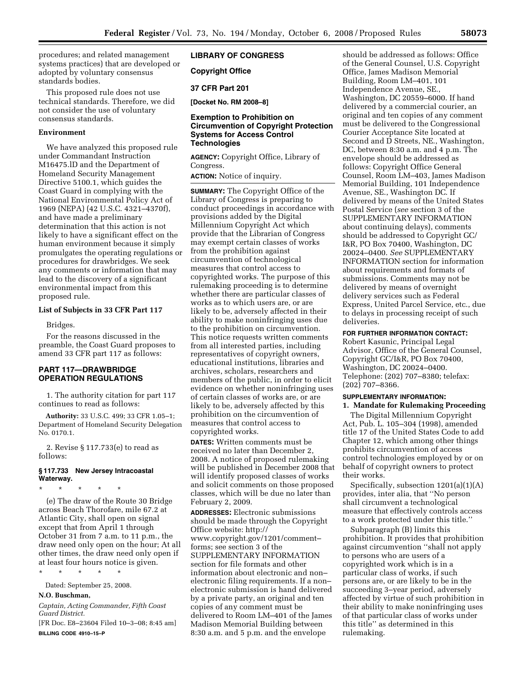procedures; and related management systems practices) that are developed or adopted by voluntary consensus standards bodies.

This proposed rule does not use technical standards. Therefore, we did not consider the use of voluntary consensus standards.

# **Environment**

We have analyzed this proposed rule under Commandant Instruction M16475.lD and the Department of Homeland Security Management Directive 5100.1, which guides the Coast Guard in complying with the National Environmental Policy Act of 1969 (NEPA) (42 U.S.C. 4321–4370f), and have made a preliminary determination that this action is not likely to have a significant effect on the human environment because it simply promulgates the operating regulations or procedures for drawbridges. We seek any comments or information that may lead to the discovery of a significant environmental impact from this proposed rule.

## **List of Subjects in 33 CFR Part 117**

Bridges.

For the reasons discussed in the preamble, the Coast Guard proposes to amend 33 CFR part 117 as follows:

# **PART 117—DRAWBRIDGE OPERATION REGULATIONS**

1. The authority citation for part 117 continues to read as follows:

**Authority:** 33 U.S.C. 499; 33 CFR 1.05–1; Department of Homeland Security Delegation No. 0170.1.

2. Revise § 117.733(e) to read as follows:

# **§ 117.733 New Jersey Intracoastal Waterway.**

\* \* \* \* \*

(e) The draw of the Route 30 Bridge across Beach Thorofare, mile 67.2 at Atlantic City, shall open on signal except that from April 1 through October 31 from 7 a.m. to 11 p.m., the draw need only open on the hour; At all other times, the draw need only open if at least four hours notice is given.

\* \* \* \* \*

Dated: September 25, 2008.

# **N.O. Buschman,**

*Captain, Acting Commander, Fifth Coast Guard District.* 

[FR Doc. E8–23604 Filed 10–3–08; 8:45 am] **BILLING CODE 4910–15–P** 

# **LIBRARY OF CONGRESS**

**Copyright Office** 

**37 CFR Part 201** 

**[Docket No. RM 2008–8]** 

# **Exemption to Prohibition on Circumvention of Copyright Protection Systems for Access Control Technologies**

**AGENCY:** Copyright Office, Library of Congress.

**ACTION:** Notice of inquiry.

**SUMMARY:** The Copyright Office of the Library of Congress is preparing to conduct proceedings in accordance with provisions added by the Digital Millennium Copyright Act which provide that the Librarian of Congress may exempt certain classes of works from the prohibition against circumvention of technological measures that control access to copyrighted works. The purpose of this rulemaking proceeding is to determine whether there are particular classes of works as to which users are, or are likely to be, adversely affected in their ability to make noninfringing uses due to the prohibition on circumvention. This notice requests written comments from all interested parties, including representatives of copyright owners, educational institutions, libraries and archives, scholars, researchers and members of the public, in order to elicit evidence on whether noninfringing uses of certain classes of works are, or are likely to be, adversely affected by this prohibition on the circumvention of measures that control access to copyrighted works.

**DATES:** Written comments must be received no later than December 2, 2008. A notice of proposed rulemaking will be published in December 2008 that will identify proposed classes of works and solicit comments on those proposed classes, which will be due no later than February 2, 2009.

**ADDRESSES:** Electronic submissions should be made through the Copyright Office website: http:// [www.copyright.gov/1201/comment–](http://www.copyright.gov/1201/comment-forms)  forms; see section 3 of the SUPPLEMENTARY INFORMATION section for file formats and other information about electronic and non– electronic filing requirements. If a non– electronic submission is hand delivered by a private party, an original and ten copies of any comment must be delivered to Room LM–401 of the James Madison Memorial Building between 8:30 a.m. and 5 p.m. and the envelope

should be addressed as follows: Office of the General Counsel, U.S. Copyright Office, James Madison Memorial Building, Room LM–401, 101 Independence Avenue, SE., Washington, DC 20559–6000. If hand delivered by a commercial courier, an original and ten copies of any comment must be delivered to the Congressional Courier Acceptance Site located at Second and D Streets, NE., Washington, DC, between 8:30 a.m. and 4 p.m. The envelope should be addressed as follows: Copyright Office General Counsel, Room LM–403, James Madison Memorial Building, 101 Independence Avenue, SE., Washington DC. If delivered by means of the United States Postal Service (*see* section 3 of the SUPPLEMENTARY INFORMATION about continuing delays), comments should be addressed to Copyright GC/ I&R, PO Box 70400, Washington, DC 20024–0400. *See* SUPPLEMENTARY INFORMATION section for information about requirements and formats of submissions. Comments may not be delivered by means of overnight delivery services such as Federal Express, United Parcel Service, etc., due to delays in processing receipt of such deliveries.

### **FOR FURTHER INFORMATION CONTACT:**

Robert Kasunic, Principal Legal Advisor, Office of the General Counsel, Copyright GC/I&R, PO Box 70400, Washington, DC 20024–0400. Telephone: (202) 707–8380; telefax: (202) 707–8366.

# **SUPPLEMENTARY INFORMATION: 1. Mandate for Rulemaking Proceeding**

The Digital Millennium Copyright Act, Pub. L. 105–304 (1998), amended title 17 of the United States Code to add Chapter 12, which among other things prohibits circumvention of access control technologies employed by or on behalf of copyright owners to protect their works.

Specifically, subsection 1201(a)(1)(A) provides, inter alia, that ''No person shall circumvent a technological measure that effectively controls access to a work protected under this title.''

Subparagraph (B) limits this prohibition. It provides that prohibition against circumvention ''shall not apply to persons who are users of a copyrighted work which is in a particular class of works, if such persons are, or are likely to be in the succeeding 3–year period, adversely affected by virtue of such prohibition in their ability to make noninfringing uses of that particular class of works under this title'' as determined in this rulemaking.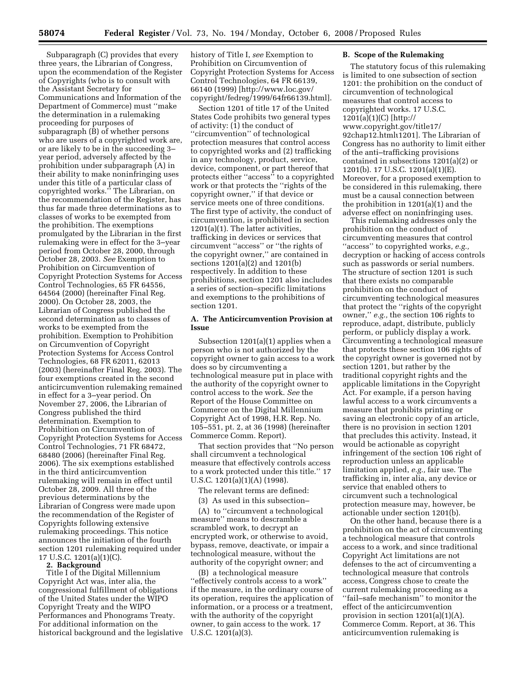Subparagraph (C) provides that every three years, the Librarian of Congress, upon the ecommendation of the Register of Copyrights (who is to consult with the Assistant Secretary for Communications and Information of the Department of Commerce) must ''make the determination in a rulemaking proceeding for purposes of subparagraph (B) of whether persons who are users of a copyrighted work are, or are likely to be in the succeeding 3– year period, adversely affected by the prohibition under subparagraph (A) in their ability to make noninfringing uses under this title of a particular class of copyrighted works.'' The Librarian, on the recommendation of the Register, has thus far made three determinations as to classes of works to be exempted from the prohibition. The exemptions promulgated by the Librarian in the first rulemaking were in effect for the 3–year period from October 28, 2000, through October 28, 2003. *See* Exemption to Prohibition on Circumvention of Copyright Protection Systems for Access Control Technologies, 65 FR 64556, 64564 (2000) (hereinafter Final Reg. 2000). On October 28, 2003, the Librarian of Congress published the second determination as to classes of works to be exempted from the prohibition. Exemption to Prohibition on Circumvention of Copyright Protection Systems for Access Control Technologies, 68 FR 62011, 62013 (2003) (hereinafter Final Reg. 2003). The four exemptions created in the second anticircumvention rulemaking remained in effect for a 3–year period. On November 27, 2006, the Librarian of Congress published the third determination. Exemption to Prohibition on Circumvention of Copyright Protection Systems for Access Control Technologies, 71 FR 68472, 68480 (2006) (hereinafter Final Reg. 2006). The six exemptions established in the third anticircumvention rulemaking will remain in effect until October 28, 2009. All three of the previous determinations by the Librarian of Congress were made upon the recommendation of the Register of Copyrights following extensive rulemaking proceedings. This notice announces the initiation of the fourth section 1201 rulemaking required under 17 U.S.C. 1201(a)(1)(C).

#### **2. Background**

Title I of the Digital Millennium Copyright Act was, inter alia, the congressional fulfillment of obligations of the United States under the WIPO Copyright Treaty and the WIPO Performances and Phonograms Treaty. For additional information on the historical background and the legislative history of Title I, *see* Exemption to Prohibition on Circumvention of Copyright Protection Systems for Access Control Technologies, 64 FR 66139, 66140 (1999) [[http://www.loc.go](http://www.loc.gov/copyright/fedreg/1999/64fr66139.html)v/ [copyright/fedreg/1999/64fr66139.htm](http://www.loc.gov/copyright/fedreg/1999/64fr66139.html)l].

Section 1201 of title 17 of the United States Code prohibits two general types of activity: (1) the conduct of ''circumvention'' of technological protection measures that control access to copyrighted works and (2) trafficking in any technology, product, service, device, component, or part thereof that protects either ''access'' to a copyrighted work or that protects the ''rights of the copyright owner,'' if that device or service meets one of three conditions. The first type of activity, the conduct of circumvention, is prohibited in section 1201(a)(1). The latter activities, trafficking in devices or services that circumvent ''access'' or ''the rights of the copyright owner,'' are contained in sections 1201(a)(2) and 1201(b) respectively. In addition to these prohibitions, section 1201 also includes a series of section–specific limitations and exemptions to the prohibitions of section 1201.

### **A. The Anticircumvention Provision at Issue**

Subsection 1201(a)(1) applies when a person who is not authorized by the copyright owner to gain access to a work does so by circumventing a technological measure put in place with the authority of the copyright owner to control access to the work. *See* the Report of the House Committee on Commerce on the Digital Millennium Copyright Act of 1998, H.R. Rep. No. 105–551, pt. 2, at 36 (1998) (hereinafter Commerce Comm. Report).

That section provides that ''No person shall circumvent a technological measure that effectively controls access to a work protected under this title.'' 17 U.S.C. 1201(a)(1)(A) (1998).

The relevant terms are defined:

(3) As used in this subsection–

(A) to ''circumvent a technological measure'' means to descramble a scrambled work, to decrypt an encrypted work, or otherwise to avoid, bypass, remove, deactivate, or impair a technological measure, without the authority of the copyright owner; and

(B) a technological measure ''effectively controls access to a work'' if the measure, in the ordinary course of its operation, requires the application of information, or a process or a treatment, with the authority of the copyright owner, to gain access to the work. 17 U.S.C. 1201(a)(3).

### **B. Scope of the Rulemaking**

The statutory focus of this rulemaking is limited to one subsection of section 1201: the prohibition on the conduct of circumvention of technological measures that control access to copyrighted works. 17 U.S.C. 1201(a)(1)(C) [http:// [www.copyright.gov/title17/](http://www.copyright.gov/title17/92chap12.html)  92chap12.htmlι1201]. The Librarian of Congress has no authority to limit either of the anti–trafficking provisions contained in subsections 1201(a)(2) or 1201(b). 17 U.S.C. 1201(a)(1)(E). Moreover, for a proposed exemption to be considered in this rulemaking, there must be a causal connection between the prohibition in 1201(a)(1) and the adverse effect on noninfringing uses.

This rulemaking addresses only the prohibition on the conduct of circumventing measures that control ''access'' to copyrighted works, *e.g.,*  decryption or hacking of access controls such as passwords or serial numbers. The structure of section 1201 is such that there exists no comparable prohibition on the conduct of circumventing technological measures that protect the ''rights of the copyright owner,'' *e.g.,* the section 106 rights to reproduce, adapt, distribute, publicly perform, or publicly display a work. Circumventing a technological measure that protects these section 106 rights of the copyright owner is governed not by section 1201, but rather by the traditional copyright rights and the applicable limitations in the Copyright Act. For example, if a person having lawful access to a work circumvents a measure that prohibits printing or saving an electronic copy of an article, there is no provision in section 1201 that precludes this activity. Instead, it would be actionable as copyright infringement of the section 106 right of reproduction unless an applicable limitation applied, *e.g.,* fair use. The trafficking in, inter alia, any device or service that enabled others to circumvent such a technological protection measure may, however, be actionable under section 1201(b).

On the other hand, because there is a prohibition on the act of circumventing a technological measure that controls access to a work, and since traditional Copyright Act limitations are not defenses to the act of circumventing a technological measure that controls access, Congress chose to create the current rulemaking proceeding as a ''fail–safe mechanism'' to monitor the effect of the anticircumvention provision in section 1201(a)(1)(A). Commerce Comm. Report, at 36. This anticircumvention rulemaking is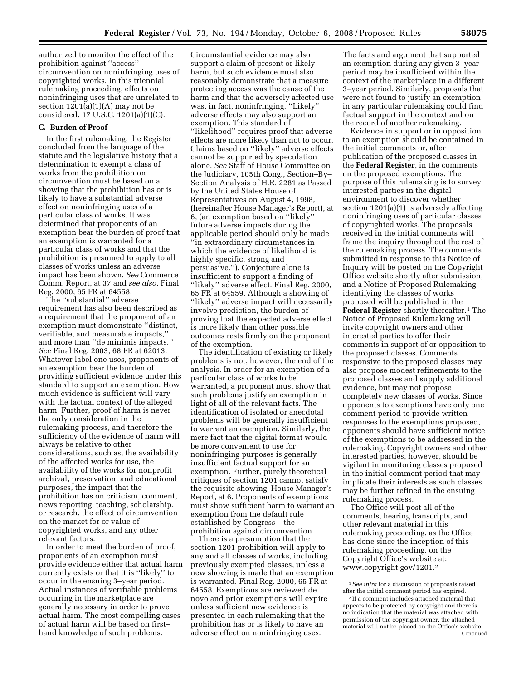authorized to monitor the effect of the prohibition against ''access'' circumvention on noninfringing uses of copyrighted works. In this triennial rulemaking proceeding, effects on noninfringing uses that are unrelated to section  $1201(a)(1)(A)$  may not be considered. 17 U.S.C. 1201(a)(1)(C).

## **C. Burden of Proof**

In the first rulemaking, the Register concluded from the language of the statute and the legislative history that a determination to exempt a class of works from the prohibition on circumvention must be based on a showing that the prohibition has or is likely to have a substantial adverse effect on noninfringing uses of a particular class of works. It was determined that proponents of an exemption bear the burden of proof that an exemption is warranted for a particular class of works and that the prohibition is presumed to apply to all classes of works unless an adverse impact has been shown. *See* Commerce Comm. Report, at 37 and *see also*, Final Reg. 2000, 65 FR at 64558.

The ''substantial'' adverse requirement has also been described as a requirement that the proponent of an exemption must demonstrate ''distinct, verifiable, and measurable impacts,'' and more than ''de minimis impacts.'' *See* Final Reg. 2003, 68 FR at 62013. Whatever label one uses, proponents of an exemption bear the burden of providing sufficient evidence under this standard to support an exemption. How much evidence is sufficient will vary with the factual context of the alleged harm. Further, proof of harm is never the only consideration in the rulemaking process, and therefore the sufficiency of the evidence of harm will always be relative to other considerations, such as, the availability of the affected works for use, the availability of the works for nonprofit archival, preservation, and educational purposes, the impact that the prohibition has on criticism, comment, news reporting, teaching, scholarship, or research, the effect of circumvention on the market for or value of copyrighted works, and any other relevant factors.

In order to meet the burden of proof, proponents of an exemption must provide evidence either that actual harm currently exists or that it is ''likely'' to occur in the ensuing 3–year period. Actual instances of verifiable problems occurring in the marketplace are generally necessary in order to prove actual harm. The most compelling cases of actual harm will be based on first– hand knowledge of such problems.

Circumstantial evidence may also support a claim of present or likely harm, but such evidence must also reasonably demonstrate that a measure protecting access was the cause of the harm and that the adversely affected use was, in fact, noninfringing. ''Likely'' adverse effects may also support an exemption. This standard of ''likelihood'' requires proof that adverse effects are more likely than not to occur. Claims based on ''likely'' adverse effects cannot be supported by speculation alone. *See* Staff of House Committee on the Judiciary, 105th Cong., Section–By– Section Analysis of H.R. 2281 as Passed by the United States House of Representatives on August 4, 1998, (hereinafter House Manager's Report), at 6, (an exemption based on ''likely'' future adverse impacts during the applicable period should only be made ''in extraordinary circumstances in which the evidence of likelihood is highly specific, strong and persuasive.''). Conjecture alone is insufficient to support a finding of ''likely'' adverse effect. Final Reg. 2000, 65 FR at 64559. Although a showing of ''likely'' adverse impact will necessarily involve prediction, the burden of proving that the expected adverse effect is more likely than other possible outcomes rests firmly on the proponent of the exemption.

The identification of existing or likely problems is not, however, the end of the analysis. In order for an exemption of a particular class of works to be warranted, a proponent must show that such problems justify an exemption in light of all of the relevant facts. The identification of isolated or anecdotal problems will be generally insufficient to warrant an exemption. Similarly, the mere fact that the digital format would be more convenient to use for noninfringing purposes is generally insufficient factual support for an exemption. Further, purely theoretical critiques of section 1201 cannot satisfy the requisite showing. House Manager's Report, at 6. Proponents of exemptions must show sufficient harm to warrant an exemption from the default rule established by Congress – the prohibition against circumvention.

There is a presumption that the section 1201 prohibition will apply to any and all classes of works, including previously exempted classes, unless a new showing is made that an exemption is warranted. Final Reg. 2000, 65 FR at 64558. Exemptions are reviewed de novo and prior exemptions will expire unless sufficient new evidence is presented in each rulemaking that the prohibition has or is likely to have an adverse effect on noninfringing uses.

The facts and argument that supported an exemption during any given 3–year period may be insufficient within the context of the marketplace in a different 3–year period. Similarly, proposals that were not found to justify an exemption in any particular rulemaking could find factual support in the context and on the record of another rulemaking.

Evidence in support or in opposition to an exemption should be contained in the initial comments or, after publication of the proposed classes in the **Federal Register**, in the comments on the proposed exemptions. The purpose of this rulemaking is to survey interested parties in the digital environment to discover whether section 1201(a)(1) is adversely affecting noninfringing uses of particular classes of copyrighted works. The proposals received in the initial comments will frame the inquiry throughout the rest of the rulemaking process. The comments submitted in response to this Notice of Inquiry will be posted on the Copyright Office website shortly after submission, and a Notice of Proposed Rulemaking identifying the classes of works proposed will be published in the **Federal Register** shortly thereafter.1 The Notice of Proposed Rulemaking will invite copyright owners and other interested parties to offer their comments in support of or opposition to the proposed classes. Comments responsive to the proposed classes may also propose modest refinements to the proposed classes and supply additional evidence, but may not propose completely new classes of works. Since opponents to exemptions have only one comment period to provide written responses to the exemptions proposed, opponents should have sufficient notice of the exemptions to be addressed in the rulemaking. Copyright owners and other interested parties, however, should be vigilant in monitoring classes proposed in the initial comment period that may implicate their interests as such classes may be further refined in the ensuing rulemaking process.

The Office will post all of the comments, hearing transcripts, and other relevant material in this rulemaking proceeding, as the Office has done since the inception of this rulemaking proceeding, on the Copyright Office's website at: [www.copyright.gov/1201.2](http://www.copyright.gov/1201.2)

<sup>1</sup>*See infra* for a discussion of proposals raised after the initial comment period has expired.

<sup>2</sup> If a comment includes attached material that appears to be protected by copyright and there is no indication that the material was attached with permission of the copyright owner, the attached material will not be placed on the Office's website. Continued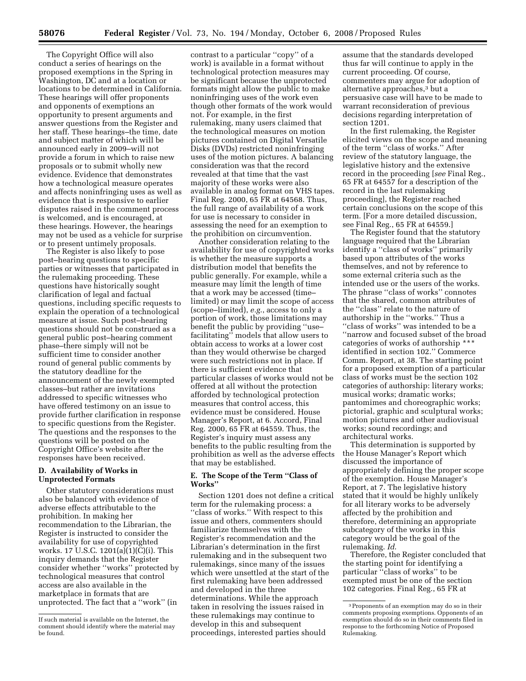The Copyright Office will also conduct a series of hearings on the proposed exemptions in the Spring in Washington, DC and at a location or locations to be determined in California. These hearings will offer proponents and opponents of exemptions an opportunity to present arguments and answer questions from the Register and her staff. These hearings–the time, date and subject matter of which will be announced early in 2009–will not provide a forum in which to raise new proposals or to submit wholly new evidence. Evidence that demonstrates how a technological measure operates and affects noninfringing uses as well as evidence that is responsive to earlier disputes raised in the comment process is welcomed, and is encouraged, at these hearings. However, the hearings may not be used as a vehicle for surprise or to present untimely proposals.

The Register is also likely to pose post–hearing questions to specific parties or witnesses that participated in the rulemaking proceeding. These questions have historically sought clarification of legal and factual questions, including specific requests to explain the operation of a technological measure at issue. Such post–hearing questions should not be construed as a general public post–hearing comment phase–there simply will not be sufficient time to consider another round of general public comments by the statutory deadline for the announcement of the newly exempted classes–but rather are invitations addressed to specific witnesses who have offered testimony on an issue to provide further clarification in response to specific questions from the Register. The questions and the responses to the questions will be posted on the Copyright Office's website after the responses have been received.

# **D. Availability of Works in Unprotected Formats**

Other statutory considerations must also be balanced with evidence of adverse effects attributable to the prohibition. In making her recommendation to the Librarian, the Register is instructed to consider the availability for use of copyrighted works. 17 U.S.C. 1201(a)(1)(C)(i). This inquiry demands that the Register consider whether ''works'' protected by technological measures that control access are also available in the marketplace in formats that are unprotected. The fact that a ''work'' (in

contrast to a particular ''copy'' of a work) is available in a format without technological protection measures may be significant because the unprotected formats might allow the public to make noninfringing uses of the work even though other formats of the work would not. For example, in the first rulemaking, many users claimed that the technological measures on motion pictures contained on Digital Versatile Disks (DVDs) restricted noninfringing uses of the motion pictures. A balancing consideration was that the record revealed at that time that the vast majority of these works were also available in analog format on VHS tapes. Final Reg. 2000, 65 FR at 64568. Thus, the full range of availability of a work for use is necessary to consider in assessing the need for an exemption to the prohibition on circumvention.

Another consideration relating to the availability for use of copyrighted works is whether the measure supports a distribution model that benefits the public generally. For example, while a measure may limit the length of time that a work may be accessed (time– limited) or may limit the scope of access (scope–limited), *e.g*., access to only a portion of work, those limitations may benefit the public by providing ''use– facilitating'' models that allow users to obtain access to works at a lower cost than they would otherwise be charged were such restrictions not in place. If there is sufficient evidence that particular classes of works would not be offered at all without the protection afforded by technological protection measures that control access, this evidence must be considered. House Manager's Report, at 6. Accord, Final Reg. 2000, 65 FR at 64559. Thus, the Register's inquiry must assess any benefits to the public resulting from the prohibition as well as the adverse effects that may be established.

# **E. The Scope of the Term ''Class of Works''**

Section 1201 does not define a critical term for the rulemaking process: a ''class of works.'' With respect to this issue and others, commenters should familiarize themselves with the Register's recommendation and the Librarian's determination in the first rulemaking and in the subsequent two rulemakings, since many of the issues which were unsettled at the start of the first rulemaking have been addressed and developed in the three determinations. While the approach taken in resolving the issues raised in these rulemakings may continue to develop in this and subsequent proceedings, interested parties should

assume that the standards developed thus far will continue to apply in the current proceeding. Of course, commenters may argue for adoption of alternative approaches,3 but a persuasive case will have to be made to warrant reconsideration of previous decisions regarding interpretation of section 1201.

In the first rulemaking, the Register elicited views on the scope and meaning of the term ''class of works.'' After review of the statutory language, the legislative history and the extensive record in the proceeding [*see* Final Reg., 65 FR at 64557 for a description of the record in the last rulemaking proceeding], the Register reached certain conclusions on the scope of this term. [For a more detailed discussion, see Final Reg., 65 FR at 64559.]

The Register found that the statutory language required that the Librarian identify a ''class of works'' primarily based upon attributes of the works themselves, and not by reference to some external criteria such as the intended use or the users of the works. The phrase ''class of works'' connotes that the shared, common attributes of the ''class'' relate to the nature of authorship in the ''works.'' Thus a ''class of works'' was intended to be a ''narrow and focused subset of the broad categories of works of authorship \*\*\* identified in section 102.'' Commerce Comm. Report, at 38. The starting point for a proposed exemption of a particular class of works must be the section 102 categories of authorship: literary works; musical works; dramatic works; pantomimes and choreographic works; pictorial, graphic and sculptural works; motion pictures and other audiovisual works; sound recordings; and architectural works.

This determination is supported by the House Manager's Report which discussed the importance of appropriately defining the proper scope of the exemption. House Manager's Report, at 7. The legislative history stated that it would be highly unlikely for all literary works to be adversely affected by the prohibition and therefore, determining an appropriate subcategory of the works in this category would be the goal of the rulemaking. *Id*.

Therefore, the Register concluded that the starting point for identifying a particular ''class of works'' to be exempted must be one of the section 102 categories. Final Reg., 65 FR at

If such material is available on the Internet, the comment should identify where the material may be found.

<sup>3</sup>Proponents of an exemption may do so in their comments proposing exemptions. Opponents of an exemption should do so in their comments filed in response to the forthcoming Notice of Proposed Rulemaking.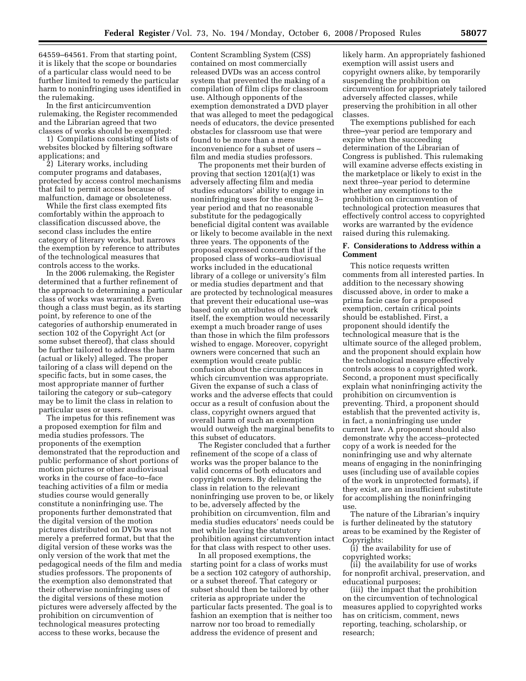64559–64561. From that starting point, it is likely that the scope or boundaries of a particular class would need to be further limited to remedy the particular harm to noninfringing uses identified in the rulemaking.

In the first anticircumvention rulemaking, the Register recommended and the Librarian agreed that two classes of works should be exempted:

1) Compilations consisting of lists of websites blocked by filtering software applications; and

2) Literary works, including computer programs and databases, protected by access control mechanisms that fail to permit access because of malfunction, damage or obsoleteness.

While the first class exempted fits comfortably within the approach to classification discussed above, the second class includes the entire category of literary works, but narrows the exemption by reference to attributes of the technological measures that controls access to the works.

In the 2006 rulemaking, the Register determined that a further refinement of the approach to determining a particular class of works was warranted. Even though a class must begin, as its starting point, by reference to one of the categories of authorship enumerated in section 102 of the Copyright Act (or some subset thereof), that class should be further tailored to address the harm (actual or likely) alleged. The proper tailoring of a class will depend on the specific facts, but in some cases, the most appropriate manner of further tailoring the category or sub–category may be to limit the class in relation to particular uses or users.

The impetus for this refinement was a proposed exemption for film and media studies professors. The proponents of the exemption demonstrated that the reproduction and public performance of short portions of motion pictures or other audiovisual works in the course of face–to–face teaching activities of a film or media studies course would generally constitute a noninfringing use. The proponents further demonstrated that the digital version of the motion pictures distributed on DVDs was not merely a preferred format, but that the digital version of these works was the only version of the work that met the pedagogical needs of the film and media studies professors. The proponents of the exemption also demonstrated that their otherwise noninfringing uses of the digital versions of these motion pictures were adversely affected by the prohibition on circumvention of technological measures protecting access to these works, because the

Content Scrambling System (CSS) contained on most commercially released DVDs was an access control system that prevented the making of a compilation of film clips for classroom use. Although opponents of the exemption demonstrated a DVD player that was alleged to meet the pedagogical needs of educators, the device presented obstacles for classroom use that were found to be more than a mere inconvenience for a subset of users – film and media studies professors.

The proponents met their burden of proving that section 1201(a)(1) was adversely affecting film and media studies educators' ability to engage in noninfringing uses for the ensuing 3– year period and that no reasonable substitute for the pedagogically beneficial digital content was available or likely to become available in the next three years. The opponents of the proposal expressed concern that if the proposed class of works–audiovisual works included in the educational library of a college or university's film or media studies department and that are protected by technological measures that prevent their educational use–was based only on attributes of the work itself, the exemption would necessarily exempt a much broader range of uses than those in which the film professors wished to engage. Moreover, copyright owners were concerned that such an exemption would create public confusion about the circumstances in which circumvention was appropriate. Given the expanse of such a class of works and the adverse effects that could occur as a result of confusion about the class, copyright owners argued that overall harm of such an exemption would outweigh the marginal benefits to this subset of educators.

The Register concluded that a further refinement of the scope of a class of works was the proper balance to the valid concerns of both educators and copyright owners. By delineating the class in relation to the relevant noninfringing use proven to be, or likely to be, adversely affected by the prohibition on circumvention, film and media studies educators' needs could be met while leaving the statutory prohibition against circumvention intact for that class with respect to other uses.

In all proposed exemptions, the starting point for a class of works must be a section 102 category of authorship, or a subset thereof. That category or subset should then be tailored by other criteria as appropriate under the particular facts presented. The goal is to fashion an exemption that is neither too narrow nor too broad to remedially address the evidence of present and

likely harm. An appropriately fashioned exemption will assist users and copyright owners alike, by temporarily suspending the prohibition on circumvention for appropriately tailored adversely affected classes, while preserving the prohibition in all other classes.

The exemptions published for each three–year period are temporary and expire when the succeeding determination of the Librarian of Congress is published. This rulemaking will examine adverse effects existing in the marketplace or likely to exist in the next three–year period to determine whether any exemptions to the prohibition on circumvention of technological protection measures that effectively control access to copyrighted works are warranted by the evidence raised during this rulemaking.

# **F. Considerations to Address within a Comment**

This notice requests written comments from all interested parties. In addition to the necessary showing discussed above, in order to make a prima facie case for a proposed exemption, certain critical points should be established. First, a proponent should identify the technological measure that is the ultimate source of the alleged problem, and the proponent should explain how the technological measure effectively controls access to a copyrighted work. Second, a proponent must specifically explain what noninfringing activity the prohibition on circumvention is preventing. Third, a proponent should establish that the prevented activity is, in fact, a noninfringing use under current law. A proponent should also demonstrate why the access–protected copy of a work is needed for the noninfringing use and why alternate means of engaging in the noninfringing uses (including use of available copies of the work in unprotected formats), if they exist, are an insufficient substitute for accomplishing the noninfringing use.

The nature of the Librarian's inquiry is further delineated by the statutory areas to be examined by the Register of Copyrights:

(i) the availability for use of copyrighted works;

(ii) the availability for use of works for nonprofit archival, preservation, and educational purposes;

(iii) the impact that the prohibition on the circumvention of technological measures applied to copyrighted works has on criticism, comment, news reporting, teaching, scholarship, or research;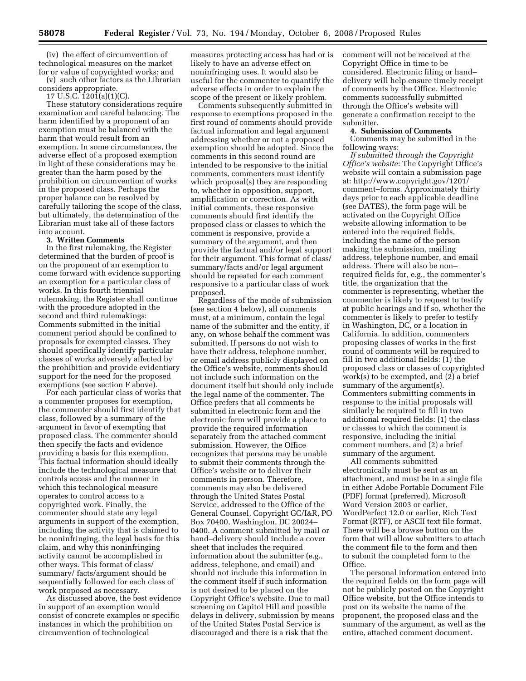(iv) the effect of circumvention of technological measures on the market for or value of copyrighted works; and

(v) such other factors as the Librarian considers appropriate.

17 U.S.C. 1201(a)(1)(C).

These statutory considerations require examination and careful balancing. The harm identified by a proponent of an exemption must be balanced with the harm that would result from an exemption. In some circumstances, the adverse effect of a proposed exemption in light of these considerations may be greater than the harm posed by the prohibition on circumvention of works in the proposed class. Perhaps the proper balance can be resolved by carefully tailoring the scope of the class, but ultimately, the determination of the Librarian must take all of these factors into account.

#### **3. Written Comments**

In the first rulemaking, the Register determined that the burden of proof is on the proponent of an exemption to come forward with evidence supporting an exemption for a particular class of works. In this fourth triennial rulemaking, the Register shall continue with the procedure adopted in the second and third rulemakings: Comments submitted in the initial comment period should be confined to proposals for exempted classes. They should specifically identify particular classes of works adversely affected by the prohibition and provide evidentiary support for the need for the proposed exemptions (see section F above).

For each particular class of works that a commenter proposes for exemption, the commenter should first identify that class, followed by a summary of the argument in favor of exempting that proposed class. The commenter should then specify the facts and evidence providing a basis for this exemption. This factual information should ideally include the technological measure that controls access and the manner in which this technological measure operates to control access to a copyrighted work. Finally, the commenter should state any legal arguments in support of the exemption, including the activity that is claimed to be noninfringing, the legal basis for this claim, and why this noninfringing activity cannot be accomplished in other ways. This format of class/ summary/ facts/argument should be sequentially followed for each class of work proposed as necessary.

As discussed above, the best evidence in support of an exemption would consist of concrete examples or specific instances in which the prohibition on circumvention of technological

measures protecting access has had or is likely to have an adverse effect on noninfringing uses. It would also be useful for the commenter to quantify the adverse effects in order to explain the scope of the present or likely problem.

Comments subsequently submitted in response to exemptions proposed in the first round of comments should provide factual information and legal argument addressing whether or not a proposed exemption should be adopted. Since the comments in this second round are intended to be responsive to the initial comments, commenters must identify which proposal(s) they are responding to, whether in opposition, support, amplification or correction. As with initial comments, these responsive comments should first identify the proposed class or classes to which the comment is responsive, provide a summary of the argument, and then provide the factual and/or legal support for their argument. This format of class/ summary/facts and/or legal argument should be repeated for each comment responsive to a particular class of work proposed.

Regardless of the mode of submission (see section 4 below), all comments must, at a minimum, contain the legal name of the submitter and the entity, if any, on whose behalf the comment was submitted. If persons do not wish to have their address, telephone number, or email address publicly displayed on the Office's website, comments should not include such information on the document itself but should only include the legal name of the commenter. The Office prefers that all comments be submitted in electronic form and the electronic form will provide a place to provide the required information separately from the attached comment submission. However, the Office recognizes that persons may be unable to submit their comments through the Office's website or to deliver their comments in person. Therefore, comments may also be delivered through the United States Postal Service, addressed to the Office of the General Counsel, Copyright GC/I&R, PO Box 70400, Washington, DC 20024– 0400. A comment submitted by mail or hand–delivery should include a cover sheet that includes the required information about the submitter (e.g., address, telephone, and email) and should not include this information in the comment itself if such information is not desired to be placed on the Copyright Office's website. Due to mail screening on Capitol Hill and possible delays in delivery, submission by means of the United States Postal Service is discouraged and there is a risk that the

comment will not be received at the Copyright Office in time to be considered. Electronic filing or hand– delivery will help ensure timely receipt of comments by the Office. Electronic comments successfully submitted through the Office's website will generate a confirmation receipt to the submitter.

### **4. Submission of Comments**  Comments may be submitted in the following ways:

*If submitted through the Copyright Office's website*: The Copyright Office's website will contain a submission page at: http://www.copyright.gov/1201/ [comment–forms. Approximately thirty](http://www.copyright.gov/1201/comment-forms)  days prior to each applicable deadline (see DATES), the form page will be activated on the Copyright Office website allowing information to be entered into the required fields, including the name of the person making the submission, mailing address, telephone number, and email address. There will also be non– required fields for, e.g., the commenter's title, the organization that the commenter is representing, whether the commenter is likely to request to testify at public hearings and if so, whether the commenter is likely to prefer to testify in Washington, DC, or a location in California. In addition, commenters proposing classes of works in the first round of comments will be required to fill in two additional fields: (1) the proposed class or classes of copyrighted work(s) to be exempted, and (2) a brief summary of the argument(s). Commenters submitting comments in response to the initial proposals will similarly be required to fill in two additional required fields: (1) the class or classes to which the comment is responsive, including the initial comment numbers, and (2) a brief summary of the argument.

All comments submitted electronically must be sent as an attachment, and must be in a single file in either Adobe Portable Document File (PDF) format (preferred), Microsoft Word Version 2003 or earlier, WordPerfect 12.0 or earlier, Rich Text Format (RTF), or ASCII text file format. There will be a browse button on the form that will allow submitters to attach the comment file to the form and then to submit the completed form to the Office.

The personal information entered into the required fields on the form page will not be publicly posted on the Copyright Office website, but the Office intends to post on its website the name of the proponent, the proposed class and the summary of the argument, as well as the entire, attached comment document.